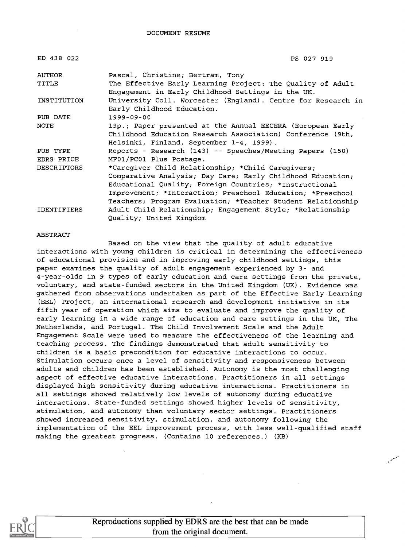| ED 438 022         | PS 027 919                                                                                                      |
|--------------------|-----------------------------------------------------------------------------------------------------------------|
| AUTHOR             | Pascal, Christine; Bertram, Tony                                                                                |
| TITLE              | The Effective Early Learning Project: The Quality of Adult<br>Engagement in Early Childhood Settings in the UK. |
| INSTITUTION        | University Coll. Worcester (England). Centre for Research in<br>Early Childhood Education.                      |
| PUB DATE           | $1999 - 09 - 00$                                                                                                |
| NOTE               | 19p.; Paper presented at the Annual EECERA (European Early                                                      |
|                    | Childhood Education Research Association) Conference (9th,                                                      |
|                    | Helsinki, Finland, September 1-4, 1999).                                                                        |
| PUB TYPE           | Reports - Research (143) -- Speeches/Meeting Papers (150)                                                       |
| EDRS PRICE         | MF01/PC01 Plus Postage.                                                                                         |
| DESCRIPTORS        | *Caregiver Child Relationship; *Child Caregivers;                                                               |
|                    | Comparative Analysis; Day Care; Early Childhood Education;                                                      |
|                    | Educational Quality; Foreign Countries; *Instructional                                                          |
|                    | Improvement; *Interaction; Preschool Education; *Preschool                                                      |
|                    | Teachers; Program Evaluation; *Teacher Student Relationship                                                     |
| <b>IDENTIFIERS</b> | Adult Child Relationship; Engagement Style; *Relationship                                                       |
|                    | Quality; United Kingdom                                                                                         |

#### ABSTRACT

Based on the view that the quality of adult educative interactions with young children is critical in determining the effectiveness of educational provision and in improving early childhood settings, this paper examines the quality of adult engagement experienced by 3- and 4-year-olds in 9 types of early education and care settings from the private, voluntary, and state-funded sectors in the United Kingdom (UK). Evidence was gathered from observations undertaken as part of the Effective Early Learning (EEL) Project, an international research and development initiative in its fifth year of operation which aims to evaluate and improve the quality of early learning in a wide range of education and care settings in the UK, The Netherlands, and Portugal. The Child Involvement Scale and the Adult Engagement Scale were used to measure the effectiveness of the learning and teaching process. The findings demonstrated that adult sensitivity to children is a basic precondition for educative interactions to occur. Stimulation occurs once a level of sensitivity and responsiveness between adults and children has been established. Autonomy is the most challenging aspect of effective educative interactions. Practitioners in all settings displayed high sensitivity during educative interactions. Practitioners in all settings showed relatively low levels of autonomy during educative interactions. State-funded settings showed higher levels of sensitivity, stimulation, and autonomy than voluntary sector settings. Practitioners showed increased sensitivity, stimulation, and autonomy following the implementation of the EEL improvement process, with less well-qualified staff making the greatest progress. (Contains 10 references.) (KB)

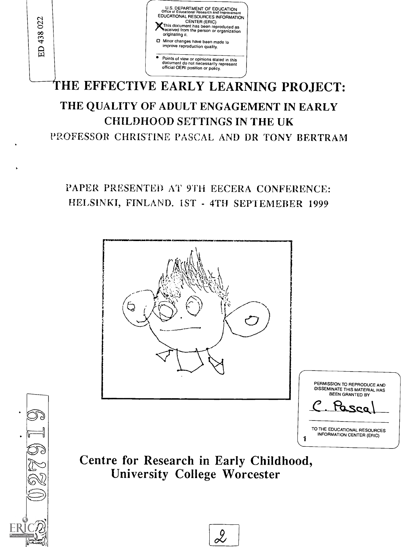

## CHILDHOOD SETTINGS IN THE UK PROFESSOR CHRISTINE PASCAL AND DR TONY BERTRAM

PAPER PRESENTED AT 9TH EECERA CONFERENCE: HELSINKI, FINLAND. 1ST - 4TH SEPTEMEBER 1999





FR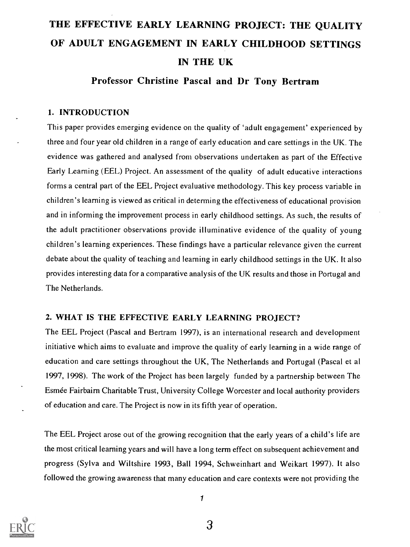## THE EFFECTIVE EARLY LEARNING PROJECT: THE QUALITY OF ADULT ENGAGEMENT IN EARLY CHILDHOOD SETTINGS IN THE UK

## Professor Christine Pascal and Dr Tony Bertram

## 1. INTRODUCTION

This paper provides emerging evidence on the quality of 'adult engagement' experienced by three and four year old children in a range of early education and care settings in the UK. The evidence was gathered and analysed from observations undertaken as part of the Effective Early Learning (EEL) Project. An assessment of the quality of adult educative interactions forms a central part of the EEL Project evaluative methodology. This key process variable in children's learning is viewed as critical in determing the effectiveness of educational provision and in informing the improvement process in early childhood settings. As such, the results of the adult practitioner observations provide illuminative evidence of the quality of young children's learning experiences. These findings have a particular relevance given the current debate about the quality of teaching and learning in early childhood settings in the UK. It also provides interesting data for a comparative analysis of the UK results and those in Portugal and The Netherlands.

## 2. WHAT IS THE EFFECTIVE EARLY LEARNING PROJECT?

The EEL Project (Pascal and Bertram 1997), is an international research and development initiative which aims to evaluate and improve the quality of early learning in a wide range of education and care settings throughout the UK, The Netherlands and Portugal (Pascal et al 1997, 1998). The work of the Project has been largely funded by a partnership between The Esmée Fairbairn Charitable Trust, University College Worcester and local authority providers of education and care. The Project is now in its fifth year of operation.

The EEL Project arose out of the growing recognition that the early years of a child's life are the most critical learning years and will have a long term effect on subsequent achievement and progress (Sylva and Wiltshire 1993, Ball 1994, Schweinhart and Weikart 1997). It also followed the growing awareness that many education and care contexts were not providing the

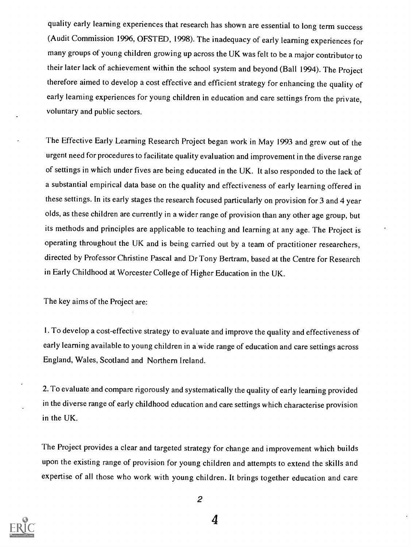quality early learning experiences that research has shown are essential to long term success (Audit Commission 1996, OFSTED, 1998). The inadequacy of early learning experiences for many groups of young children growing up across the UK was felt to be a major contributor to their later lack of achievement within the school system and beyond (Ball 1994). The Project therefore aimed to develop a cost effective and efficient strategy for enhancing the quality of early learning experiences for young children in education and care settings from the private, voluntary and public sectors.

The Effective Early Learning Research Project began work in May 1993 and grew out of the urgent need for procedures to facilitate quality evaluation and improvement in the diverse range of settings in which under fives are being educated in the UK. It also responded to the lack of a substantial empirical data base on the quality and effectiveness of early learning offered in these settings. In its early stages the research focused particularly on provision for 3 and 4 year olds, as these children are currently in a wider range of provision than any other age group, but its methods and principles are applicable to teaching and learning at any age. The Project is operating throughout the UK and is being carried out by a team of practitioner researchers, directed by Professor Christine Pascal and Dr Tony Bertram, based at the Centre for Research in Early Childhood at Worcester College of Higher Education in the UK.

The key aims of the Project are:

1. To develop a cost-effective strategy to evaluate and improve the quality and effectiveness of early learning available to young children in a wide range of education and care settings across England, Wales, Scotland and Northern Ireland.

2. To evaluate and compare rigorously and systematically the quality of early learning provided in the diverse range of early childhood education and care settings which characterise provision in the UK.

The Project provides a clear and targeted strategy for change and improvement which builds upon the existing range of provision for young children and attempts to extend the skills and expertise of all those who work with young children. It brings together education and care

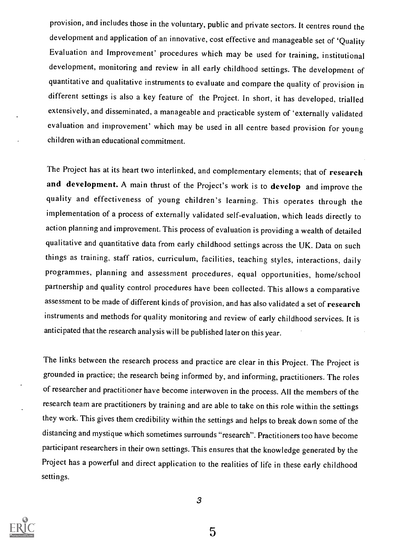provision, and includes those in the voluntary, public and private sectors. It centres round the development and application of an innovative, cost effective and manageable set of 'Quality Evaluation and Improvement' procedures which may be used for training, institutional development, monitoring and review in all early childhood settings. The development of quantitative and qualitative instruments to evaluate and compare the quality of provision in different settings is also a key feature of the Project. In short, it has developed, trialled extensively, and disseminated, a manageable and practicable system of 'externally validated evaluation and improvement' which may be used in all centre based provision for young children with an educational commitment.

The Project has at its heart two interlinked, and complementary elements; that of research and development. A main thrust of the Project's work is to develop and improve the quality and effectiveness of young children's learning. This operates through the implementation of a process of externally validated self-evaluation, which leads directly to action planning and improvement. This process of evaluation is providing a wealth of detailed qualitative and quantitative data from early childhood settings across the UK. Data on such things as training, staff ratios, curriculum, facilities, teaching styles, interactions, daily programmes, planning and assessment procedures, equal opportunities, home/school partnership and quality control procedures have been collected. This allows a comparative assessment to be made of different kinds of provision, and has also validated a set of research instruments and methods for quality monitoring and review of early childhood services. It is anticipated that the research analysis will be published later on this year.

The links between the research process and practice are clear in this Project. The Project is grounded in practice; the research being informed by, and informing, practitioners. The roles of researcher and practitioner have become interwoven in the process. All the members of the research team are practitioners by training and are able to take on this role within the settings they work. This gives them credibility within the settings and helps to break down some of the distancing and mystique which sometimes surrounds "research". Practitioners too have become participant researchers in their own settings. This ensures that the knowledge generated by the Project has a powerful and direct application to the realities of life in these early childhood settings.

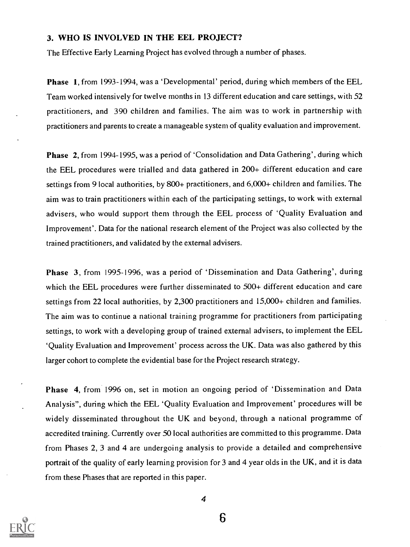#### 3. WHO IS INVOLVED IN THE EEL PROJECT?

The Effective Early Learning Project has evolved through a number of phases.

Phase 1, from 1993-1994, was a 'Developmental' period, during which members of the EEL Team worked intensively for twelve months in 13 different education and care settings, with 52 practitioners, and 390 children and families. The aim was to work in partnership with practitioners and parents to create a manageable system of quality evaluation and improvement.

Phase 2, from 1994-1995, was a period of 'Consolidation and Data Gathering', during which the EEL procedures were trialled and data gathered in 200+ different education and care settings from 9 local authorities, by 800+ practitioners, and 6,000+ children and families. The aim was to train practitioners within each of the participating settings, to work with external advisers, who would support them through the EEL process of 'Quality Evaluation and Improvement'. Data for the national research element of the Project was also collected by the trained practitioners, and validated by the external advisers.

Phase 3, from 1995-1996, was a period of 'Dissemination and Data Gathering', during which the EEL procedures were further disseminated to 500+ different education and care settings from 22 local authorities, by 2,300 practitioners and 15,000+ children and families. The aim was to continue a national training programme for practitioners from participating settings, to work with a developing group of trained external advisers, to implement the EEL `Quality Evaluation and Improvement' process across the UK. Data was also gathered by this larger cohort to complete the evidential base for the Project research strategy.

Phase 4, from 1996 on, set in motion an ongoing period of 'Dissemination and Data Analysis", during which the EEL 'Quality Evaluation and Improvement' procedures will be widely disseminated throughout the UK and beyond, through a national programme of accredited training. Currently over 50 local authorities are committed to this programme. Data from Phases 2, 3 and 4 are undergoing analysis to provide a detailed and comprehensive portrait of the quality of early learning provision for 3 and 4 year olds in the UK, and it is data from these Phases that are reported in this paper.



4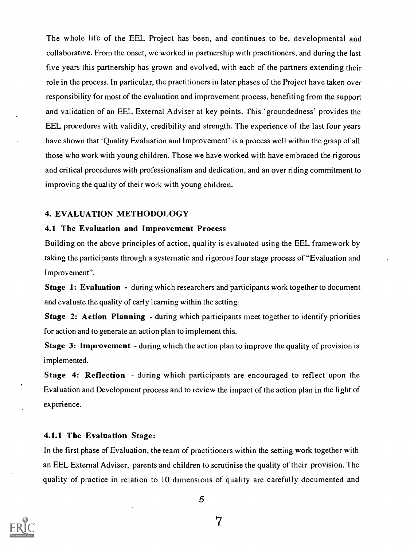The whole life of the EEL Project has been, and continues to be, developmental and collaborative. From the onset, we worked in partnership with practitioners, and during the last five years this partnership has grown and evolved, with each of the partners extending their role in the process. In particular, the practitioners in later phases of the Project have taken over responsibility for most of the evaluation and improvement process, benefiting from the support and validation of an EEL External Adviser at key points. This `groundedness' provides the EEL procedures with validity, credibility and strength. The experience of the last four years have shown that 'Quality Evaluation and Improvement' is a process well within the grasp of all those who work with young children. Those we have worked with have embraced the rigorous and critical procedures with professionalism and dedication, and an over riding commitment to improving the quality of their work with young children.

## 4. EVALUATION METHODOLOGY

#### 4.1 The Evaluation and Improvement Process

Building on the above principles of action, quality is evaluated using the EEL framework by taking the participants through a systematic and rigorous four stage process of "Evaluation and Improvement".

Stage 1: Evaluation - during which researchers and participants work together to document and evaluate the quality of early learning within the setting.

Stage 2: Action Planning - during which participants meet together to identify priorities for action and to generate an action plan to implement this.

**Stage 3: Improvement** - during which the action plan to improve the quality of provision is implemented.

Stage 4: Reflection - during which participants are encouraged to reflect upon the Evaluation and Development process and to review the impact of the action plan in the light of experience.

#### 4.1.1 The Evaluation Stage:

In the first phase of Evaluation, the team of practitioners within the setting work together with an EEL External Adviser, parents and children to scrutinise the quality of their provision. The quality of practice in relation to 10 dimensions of quality are carefully documented and

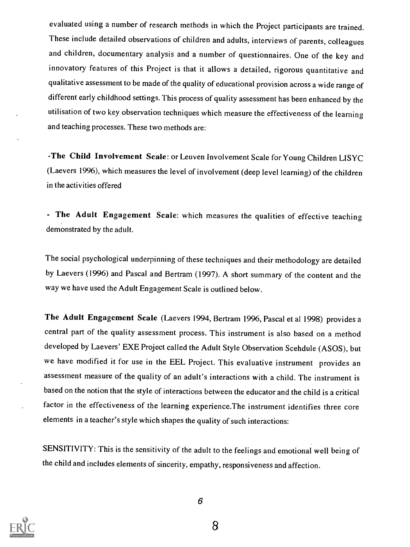evaluated using a number of research methods in which the Project participants are trained. These include detailed observations of children and adults, interviews of parents, colleagues and children, documentary analysis and a number of questionnaires. One of the key and innovatory features of this Project is that it allows a detailed, rigorous quantitative and qualitative assessment to be made of the quality of educational provision across a wide range of different early childhood settings. This process of quality assessment has been enhanced by the utilisation of two key observation techniques which measure the effectiveness of the learning and teaching processes. These two methods are:

-The Child Involvement Scale: or Leuven Involvement Scale for Young Children LISYC (Laevers 1996), which measures the level of involvement (deep level learning) of the children in the activities offered

- The Adult Engagement Scale: which measures the qualities of effective teaching demonstrated by the adult.

The social psychological underpinning of these techniques and their methodology are detailed by Laevers (1996) and Pascal and Bertram (1997). A short summary of the content and the way we have used the Adult Engagement Scale is outlined below.

The Adult Engagement Scale (Laevers 1994, Bertram 1996, Pascal et al 1998) provides a central part of the quality assessment process. This instrument is also based on a method developed by Laevers' EXE Project called the Adult Style Observation Scehdule (ASOS), but we have modified it for use in the EEL Project. This evaluative instrument provides an assessment measure of the quality of an adult's interactions with a child. The instrument is based on the notion that the style of interactions between the educator and the child is a critical factor in the effectiveness of the learning experience.The instrument identifies three core elements in a teacher's style which shapes the quality of such interactions:

SENSITIVITY: This is the sensitivity of the adult to the feelings and emotional well being of the child and includes elements of sincerity, empathy, responsiveness and affection.



 $\epsilon$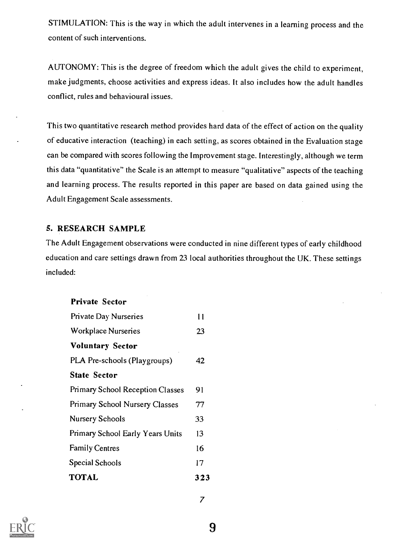STIMULATION: This is the way in which the adult intervenes in a learning process and the content of such interventions.

AUTONOMY: This is the degree of freedom which the adult gives the child to experiment, make judgments, choose activities and express ideas. It also includes how the adult handles conflict, rules and behavioural issues.

This two quantitative research method provides hard data of the effect of action on the quality of educative interaction (teaching) in each setting, as scores obtained in the Evaluation stage can be compared with scores following the Improvement stage. Interestingly, although we term this data "quantitative" the Scale is an attempt to measure "qualitative" aspects of the teaching and learning process. The results reported in this paper are based on data gained using the Adult Engagement Scale assessments.

## 5. RESEARCH SAMPLE

The Adult Engagement observations were conducted in nine different types of early childhood education and care settings drawn from 23 local authorities throughout the UK. These settings included:

## Private Sector

| 11  |
|-----|
| 23  |
|     |
| 42  |
|     |
| 91  |
| 77  |
| 33  |
| 13  |
| 16  |
| 17  |
| 323 |
|     |

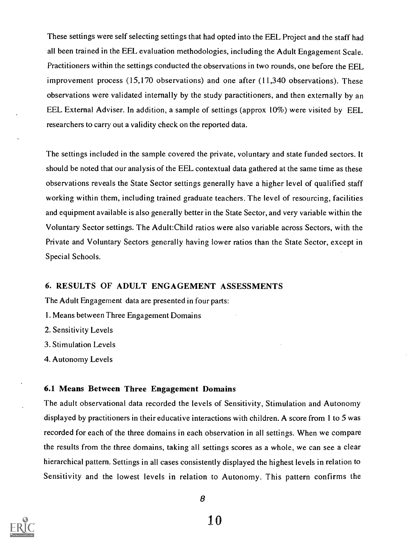These settings were self selecting settings that had opted into the EEL Project and the staff had all been trained in the EEL evaluation methodologies, including the Adult Engagement Scale. Practitioners within the settings conducted the observations in two rounds, one before the EEL improvement process (15,170 observations) and one after (11,340 observations). These observations were validated internally by the study paractitioners, and then externally by an EEL External Adviser. In addition, a sample of settings (approx 10%) were visited by EEL researchers to carry out a validity check on the reported data.

The settings included in the sample covered the private, voluntary and state funded sectors. It should be noted that our analysis of the EEL contextual data gathered at the same time as these observations reveals the State Sector settings generally have a higher level of qualified staff working within them, including trained graduate teachers. The level of resourcing, facilities and equipment available is also generally better in the State Sector, and very variable within the Voluntary Sector settings. The Adult:Child ratios were also variable across Sectors, with the Private and Voluntary Sectors generally having lower ratios than the State Sector, except in Special Schools.

## 6. RESULTS OF ADULT ENGAGEMENT ASSESSMENTS

The Adult Engagement data are presented in four parts:

- 1. Means between Three Engagement Domains
- 2. Sensitivity Levels
- 3. Stimulation Levels
- 4. Autonomy Levels

#### 6.1 Means Between Three Engagement Domains

The adult observational data recorded the levels of Sensitivity, Stimulation and Autonomy displayed by practitioners in their educative interactions with children. A score from 1 to 5 was recorded for each of the three domains in each observation in all settings. When we compare the results from the three domains, taking all settings scores as a whole, we can see a clear hierarchical pattern. Settings in all cases consistently displayed the highest levels in relation to Sensitivity and the lowest levels in relation to Autonomy. This pattern confirms the

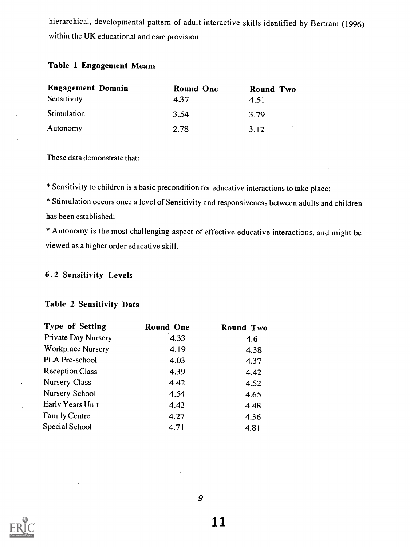hierarchical, developmental pattern of adult interactive skills identified by Bertram (1996) within the UK educational and care provision.

## Table 1 Engagement Means

| <b>Engagement Domain</b><br>Sensitivity | <b>Round One</b><br>4.37 | Round Two<br>4.51 |
|-----------------------------------------|--------------------------|-------------------|
| Stimulation                             | 3.54                     | 3.79              |
| Autonomy                                | 2.78                     | 3.12              |

These data demonstrate that:

\* Sensitivity to children is a basic precondition for educative interactionsto take place;

\* Stimulation occurs once a level of Sensitivity and responsiveness between adults and children has been established;

\* Autonomy is the most challenging aspect of effective educative interactions, and might be viewed as a higher order educative skill.

## 6.2 Sensitivity Levels

## Table 2 Sensitivity Data

| Type of Setting          | <b>Round One</b> | <b>Round Two</b> |
|--------------------------|------------------|------------------|
| Private Day Nursery      | 4.33             | 4.6              |
| <b>Workplace Nursery</b> | 4.19             | 4.38             |
| PLA Pre-school           | 4.03             | 4.37             |
| <b>Reception Class</b>   | 4.39             | 4.42             |
| <b>Nursery Class</b>     | 4.42             | 4.52             |
| <b>Nursery School</b>    | 4.54             | 4.65             |
| Early Years Unit         | 4.42             | 4.48             |
| <b>Family Centre</b>     | 4.27             | 4.36             |
| Special School           | 4.71             | 4.81             |

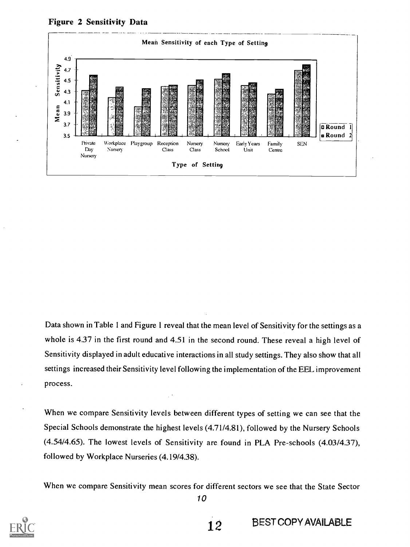



Data shown in Table I and Figure 1 reveal that the mean level of Sensitivity for the settings as a whole is 4.37 in the first round and 4.51 in the second round. These reveal a high level of Sensitivity displayed in adult educative interactions in all study settings. They also show that all settings increased their Sensitivity level following the implementation of the EEL improvement process.

When we compare Sensitivity levels between different types of setting we can see that the Special Schools demonstrate the highest levels (4.71/4.81), followed by the Nursery Schools (4.54/4.65). The lowest levels of Sensitivity are found in PLA Pre-schools (4.03/4.37), followed by Workplace Nurseries (4.19/4.38).

When we compare Sensitivity mean scores for different sectors we see that the State Sector

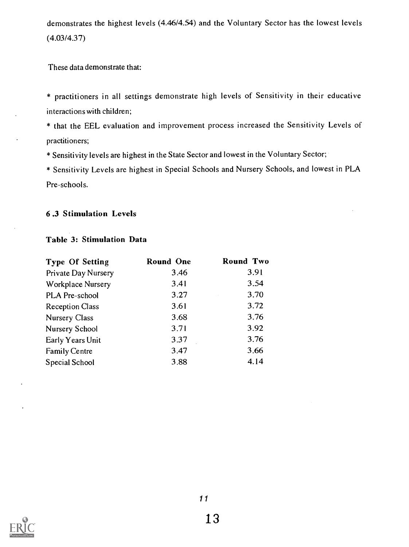demonstrates the highest levels (4.46/4.54) and the Voluntary Sector has the lowest levels (4.03/4.37)

These data demonstrate that:

\* practitioners in all settings demonstrate high levels of Sensitivity in their educative interactions with children;

\* that the EEL evaluation and improvement process increased the Sensitivity Levels of practitioners;

\* Sensitivity levels are highest in the State Sector and lowest in the Voluntary Sector;

\* Sensitivity Levels are highest in Special Schools and Nursery Schools, and lowest in PLA Pre-schools.

## 6 .3 Stimulation Levels

## Table 3: Stimulation Data

| <b>Type Of Setting</b> | <b>Round One</b> | <b>Round Two</b> |
|------------------------|------------------|------------------|
| Private Day Nursery    | 3.46             | 3.91             |
| Workplace Nursery      | 3.41             | 3.54             |
| PLA Pre-school         | 3.27             | 3.70             |
| <b>Reception Class</b> | 3.61             | 3.72             |
| <b>Nursery Class</b>   | 3.68             | 3.76             |
| <b>Nursery School</b>  | 3.71             | 3.92             |
| Early Years Unit       | 3.37             | 3.76             |
| <b>Family Centre</b>   | 3.47             | 3.66             |
| Special School         | 3.88             | 4.14             |

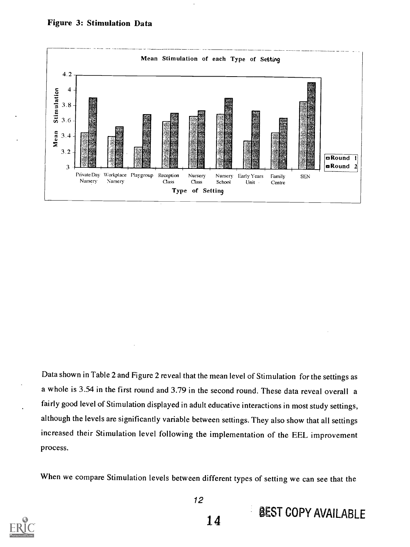



Data shown in Table 2 and Figure 2 reveal that the mean level of Stimulation for the settings as a whole is 3.54 in the first round and 3.79 in the second round. These data reveal overall a fairly good level of Stimulation displayed in adult educative interactions in most study settings, although the levels are significantly variable between settings. They also show that all settings increased their Stimulation level following the implementation of the EEL improvement process.

When we compare Stimulation levels between different types of setting we can see that the



12

14 BEST COPY AVAILABLE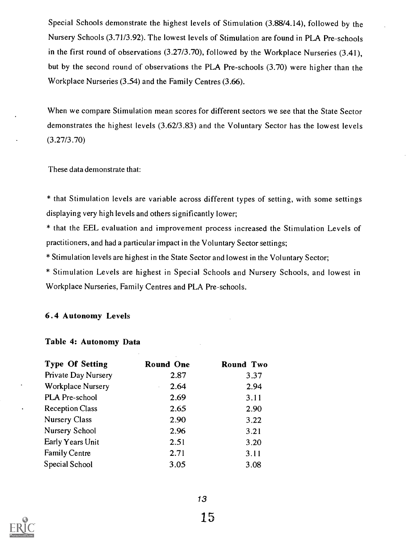Special Schools demonstrate the highest levels of Stimulation (3.88/4.14), followed by the Nursery Schools (3.71/3.92). The lowest levels of Stimulation are found in PLA Pre-schools in the first round of observations (3.27/3.70), followed by the Workplace Nurseries (3.41), but by the second round of observations the PLA Pre-schools (3.70) were higher than the Workplace Nurseries (3.54) and the Family Centres (3.66).

When we compare Stimulation mean scores for different sectors we see that the State Sector demonstrates the highest levels (3.62/3.83) and the Voluntary Sector has the lowest levels (3.27/3.70)

These data demonstrate that:

\* that Stimulation levels are variable across different types of setting, with some settings displaying very high levels and others significantly lower;

\* that the EEL evaluation and improvement process increased the Stimulation Levels of practitioners, and had a particular impact in the Voluntary Sector settings;

\* Stimulation levels are highest in the State Sector and lowest in the Voluntary Sector;

\* Stimulation Levels are highest in Special Schools and Nursery Schools, and lowest in Workplace Nurseries, Family Centres and PLA Pre-schools.

## 6.4 Autonomy Levels

## Table 4: Autonomy Data

| <b>Type Of Setting</b>   | <b>Round One</b> | <b>Round Two</b> |
|--------------------------|------------------|------------------|
| Private Day Nursery      | 2.87             | 3.37             |
| <b>Workplace Nursery</b> | 2.64<br>×,       | 2.94             |
| PLA Pre-school           | 2.69             | 3.11             |
| <b>Reception Class</b>   | 2.65             | 2.90             |
| <b>Nursery Class</b>     | 2.90             | 3.22             |
| <b>Nursery School</b>    | 2.96             | 3.21             |
| Early Years Unit         | 2.51             | 3.20             |
| <b>Family Centre</b>     | 2.71             | 3.11             |
| Special School           | 3.05             | 3.08             |

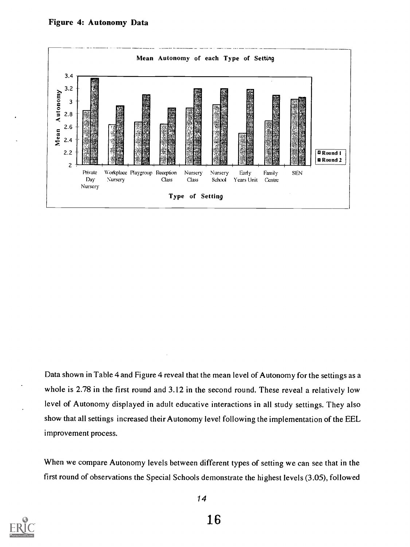

Data shown in Table 4 and Figure 4 reveal that the mean level of Autonomy for the settings as a whole is 2.78 in the first round and 3.12 in the second round. These reveal a relatively low level of Autonomy displayed in adult educative interactions in all study settings. They also show that all settings increased their Autonomy level following the implementation of the EEL improvement process.

When we compare Autonomy levels between different types of setting we can see that in the first round of observations the Special Schools demonstrate the highest levels (3.05), followed

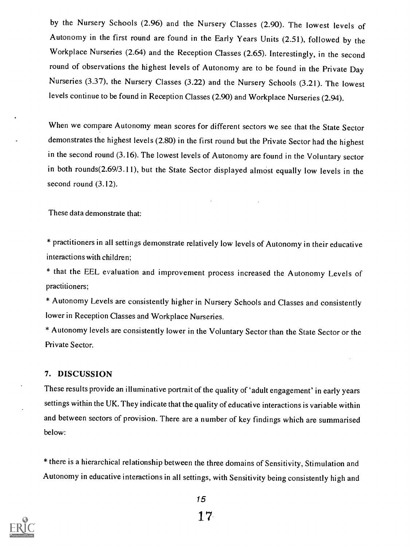by the Nursery Schools (2.96) and the Nursery Classes (2.90). The lowest levels of Autonomy in the first round are found in the Early Years Units (2.51), followed by the Workplace Nurseries (2.64) and the Reception Classes (2.65). Interestingly, in the second round of observations the highest levels of Autonomy are to be found in the Private Day Nurseries (3.37), the Nursery Classes (3.22) and the Nursery Schools (3.21). The lowest levels continue to be found in Reception Classes (2.90) and Workplace Nurseries (2.94).

When we compare Autonomy mean scores for different sectors we see that the State Sector demonstrates the highest levels (2.80) in the first round but the Private Sector had the highest in the second round (3.16). The lowest levels of Autonomy are found in the Voluntary sector in both rounds(2.69/3.11), but the State Sector displayed almost equally low levels in the second round (3.12).

These data demonstrate that:

\* practitioners in all settings demonstrate relatively low levels of Autonomy in their educative interactions with children;

\* that the EEL evaluation and improvement process increased the Autonomy Levels of practitioners;

\* Autonomy Levels are consistently higher in Nursery Schools and Classes and consistently lower in Reception Classes and Workplace Nurseries.

\* Autonomy levels are consistently lower in the Voluntary Sector than the State Sector or the Private Sector.

### 7. DISCUSSION

These results provide an illuminative portrait of the quality of 'adult engagement' in early years settings within the UK. They indicate that the quality of educative interactions is variable within and between sectors of provision. There are a number of key findings which are summarised below:

\* there is a hierarchical relationship between the three domains of Sensitivity, Stimulation and Autonomy in educative interactions in all settings, with Sensitivity being consistently high and



15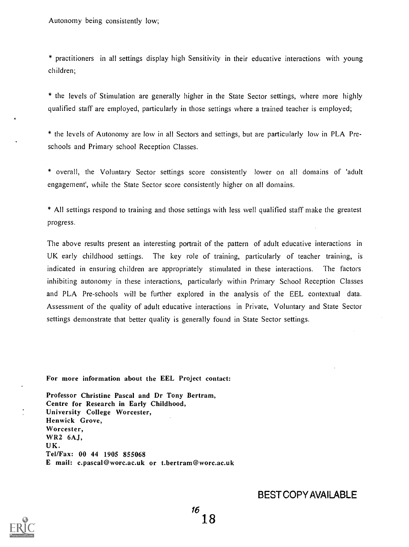\* practitioners in all settings display high Sensitivity in their educative interactions with young children;

\* the levels of Stimulation are generally higher in the State Sector settings, where more highly qualified staff are employed, particularly in those settings where a trained teacher is employed;

\* the levels of Autonomy are low in all Sectors and settings, but are particularly low in PLA Preschools and Primary school Reception Classes.

\* overall, the Voluntary Sector settings score consistently lower on all domains of 'adult engagement', while the State Sector score consistently higher on all domains.

\* All settings respond to training and those settings with less well qualified staff make the greatest progress.

The above results present an interesting portrait of the pattern of adult educative interactions in UK early childhood settings. The key role of training, particularly of teacher training, is indicated in ensuring children are appropriately stimulated in these interactions. The factors inhibiting autonomy in these interactions, particularly within Primary School Reception Classes and PLA Pre-schools will be further explored in the analysis of the EEL contextual data. Assessment of the quality of adult educative interactions in Private, Voluntary and State Sector settings demonstrate that better quality is generally found in State Sector settings.

For more information about the EEL Project contact:

Professor Christine Pascal and Dr Tony Bertram, Centre for Research in Early Childhood, University College Worcester, Henwick Grove, Worcester, WR2 6AJ, UK. Tel/Fax: 00 44 1905 855068 E mail: c.pascal@worc.ac.uk or t.bertram@worc.ac.uk

## BEST COPY AVAILABLE

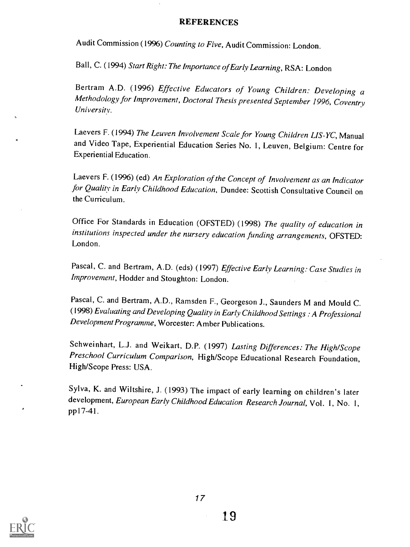#### REFERENCES

Audit Commission (1996) Counting to Five, Audit Commission: London.

Ball, C. (1994) Start Right: The Importance of Early Learning, RSA: London

Bertram A.D. (1996) Effective Educators of Young Children: Developing a Methodology for Improvement, Doctoral Thesis presented September 1996, Coventry University.

Laevers F. (1994) The Leuven Involvement Scale for Young Children LIS-YC, Manual and Video Tape, Experiential Education Series No. 1, Leuven, Belgium: Centre for Experiential Education.

Laevers F. (1996) (ed) An Exploration of the Concept of Involvement as an Indicator for Quality in Early Childhood Education, Dundee: Scottish Consultative Council on the Curriculum.

Office For Standards in Education (OFSTED) (1998) The quality of education in institutions inspected under the nursery education funding arrangements, OFSTED: London.

Pascal, C. and Bertram, A.D. (eds) (1997) Effective Early Learning: Case Studies in Improvement, Hodder and Stoughton: London.

Pascal, C. and Bertram, A.D., Ramsden F., Georgeson J., Saunders M and Mould C. (1998) Evaluating and Developing Quality in Early Childhood Settings : A Professional Development Programme, Worcester: Amber Publications.

Schweinhart, L.J. and Weikart, D.P. (1997) Lasting Differences: The High/Scope Preschool Curriculum Comparison, High/Scope Educational Research Foundation, High/Scope Press: USA.

Sylva, K. and Wiltshire, J. (1993) The impact of early learning on children's later development, European Early Childhood Education Research Journal, Vol. 1, No. 1, pp17-41.

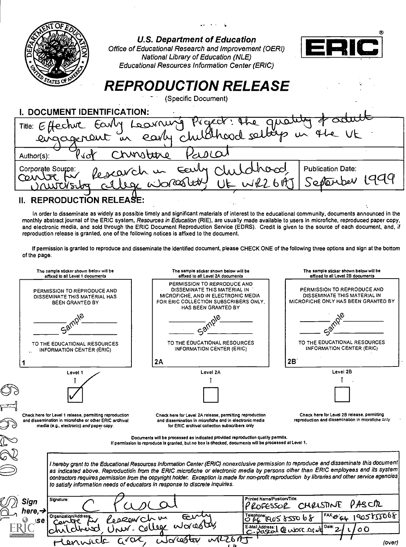|                             | and the state of the state of<br><b>U.S. Department of Education</b><br>Office of Educational Research and Improvement (OERI)<br><b>National Library of Education (NLE)</b><br><b>Educational Resources Information Center (ERIC)</b> | ERIC                                                                      |
|-----------------------------|---------------------------------------------------------------------------------------------------------------------------------------------------------------------------------------------------------------------------------------|---------------------------------------------------------------------------|
|                             | <b>REPRODUCTION RELEASE</b>                                                                                                                                                                                                           |                                                                           |
|                             | (Specific Document)                                                                                                                                                                                                                   |                                                                           |
| I. DOCUMENT IDENTIFICATION: |                                                                                                                                                                                                                                       |                                                                           |
| Title: Effecture            | Leovning                                                                                                                                                                                                                              |                                                                           |
|                             | engagement in early childhood selling                                                                                                                                                                                                 |                                                                           |
| Author(s):<br>এমে           | asca<br>Chinoture                                                                                                                                                                                                                     |                                                                           |
| Corporate Source:<br>Centr  | Rescovation carry<br>University called workshot<br>UEW2697                                                                                                                                                                            | <b>Publication Date:</b><br>$\mathsf{q}\mathsf{q}\mathsf{q}$<br>September |
| II. REPRODUCTION RELEASE:   |                                                                                                                                                                                                                                       |                                                                           |

In order to disseminate as widely as possible timely and significant materials of interest to the educational community, documents announced in the monthly abstract journal of the ERIC system, Resources in Education (RIE), are usually made available to users in microfiche, reproduced paper copy, and electronic media, and sold through the ERIC Document Reproduction Service (EDRS). Credit is given to the source of each document, and, if reproduction release is granted, one of the following notices is affixed to the document.

If permission is granted to reproduce and disseminate the identified document, please CHECK ONE of the following three options and sign at the bottom of the page.